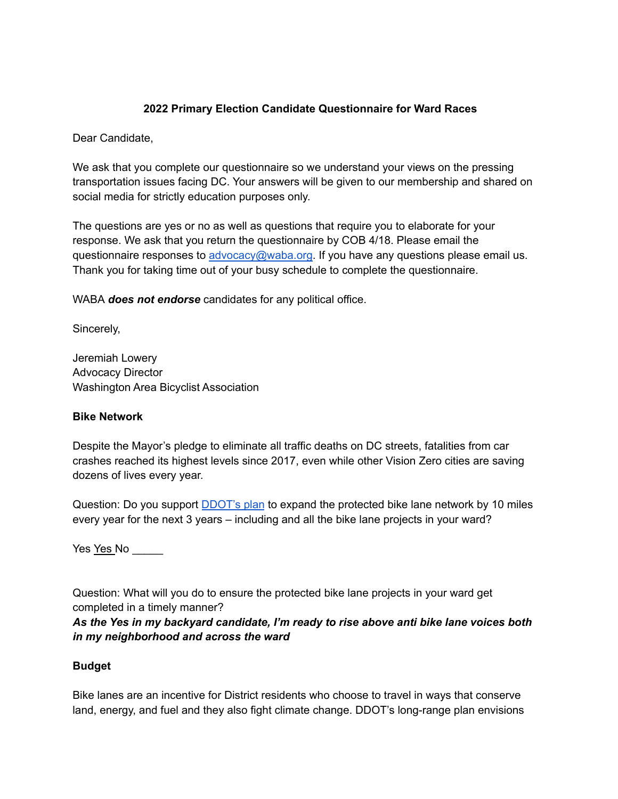## **2022 Primary Election Candidate Questionnaire for Ward Races**

Dear Candidate,

We ask that you complete our questionnaire so we understand your views on the pressing transportation issues facing DC. Your answers will be given to our membership and shared on social media for strictly education purposes only.

The questions are yes or no as well as questions that require you to elaborate for your response. We ask that you return the questionnaire by COB 4/18. Please email the questionnaire responses to [advocacy@waba.org.](mailto:jeremiah.lowery@waba.org) If you have any questions please email us. Thank you for taking time out of your busy schedule to complete the questionnaire.

WABA *does not endorse* candidates for any political office.

Sincerely,

Jeremiah Lowery Advocacy Director Washington Area Bicyclist Association

#### **Bike Network**

Despite the Mayor's pledge to eliminate all traffic deaths on DC streets, fatalities from car crashes reached its highest levels since 2017, even while other Vision Zero cities are saving dozens of lives every year.

Question: Do you support **[DDOT's plan](https://ddot.dc.gov/page/bicycle-lanes)** to expand the protected bike lane network by 10 miles every year for the next 3 years – including and all the bike lane projects in your ward?

Yes Yes No

Question: What will you do to ensure the protected bike lane projects in your ward get completed in a timely manner?

*As the Yes in my backyard candidate, I'm ready to rise above anti bike lane voices both in my neighborhood and across the ward*

## **Budget**

Bike lanes are an incentive for District residents who choose to travel in ways that conserve land, energy, and fuel and they also fight climate change. DDOT's long-range plan envisions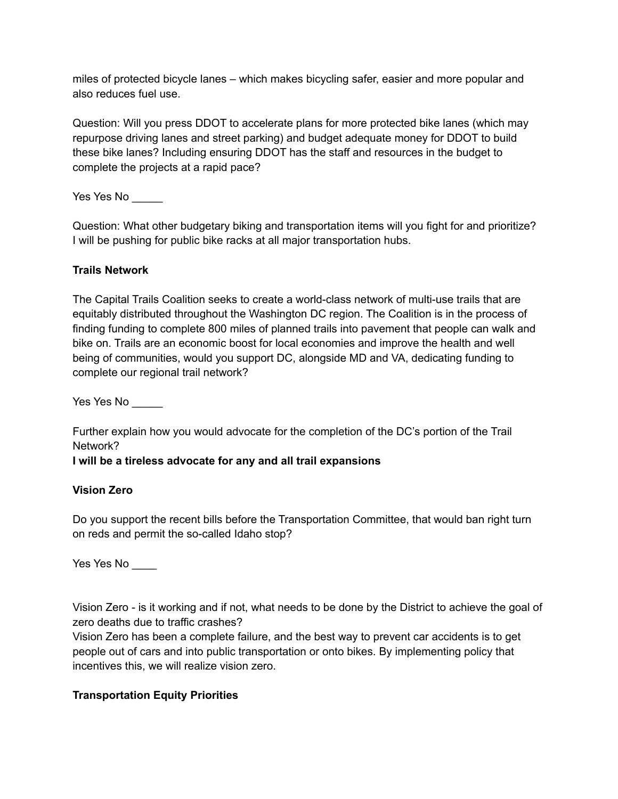miles of protected bicycle lanes – which makes bicycling safer, easier and more popular and also reduces fuel use.

Question: Will you press DDOT to accelerate plans for more protected bike lanes (which may repurpose driving lanes and street parking) and budget adequate money for DDOT to build these bike lanes? Including ensuring DDOT has the staff and resources in the budget to complete the projects at a rapid pace?

Yes Yes No \_\_\_\_\_

Question: What other budgetary biking and transportation items will you fight for and prioritize? I will be pushing for public bike racks at all major transportation hubs.

## **Trails Network**

The Capital Trails Coalition seeks to create a world-class network of multi-use trails that are equitably distributed throughout the Washington DC region. The Coalition is in the process of finding funding to complete 800 miles of planned trails into pavement that people can walk and bike on. Trails are an economic boost for local economies and improve the health and well being of communities, would you support DC, alongside MD and VA, dedicating funding to complete our regional trail network?

Yes Yes No

Further explain how you would advocate for the completion of the DC's portion of the Trail Network?

## **I will be a tireless advocate for any and all trail expansions**

## **Vision Zero**

Do you support the recent bills before the Transportation Committee, that would ban right turn on reds and permit the so-called Idaho stop?

Yes Yes No \_\_\_\_\_

Vision Zero - is it working and if not, what needs to be done by the District to achieve the goal of zero deaths due to traffic crashes?

Vision Zero has been a complete failure, and the best way to prevent car accidents is to get people out of cars and into public transportation or onto bikes. By implementing policy that incentives this, we will realize vision zero.

# **Transportation Equity Priorities**